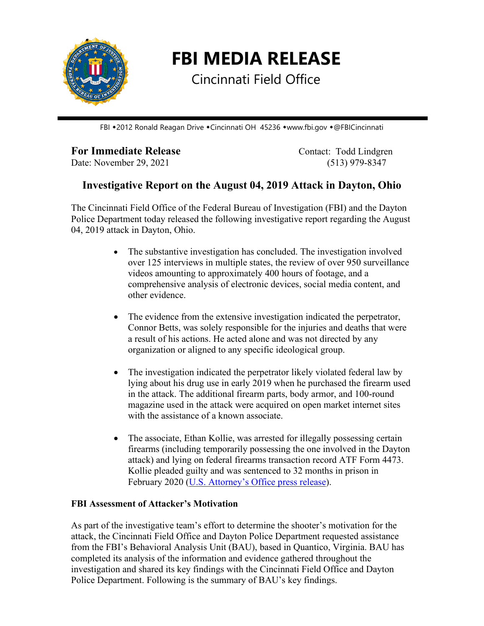

**FBI MEDIA RELEASE**

Cincinnati Field Office

FBI •2012 Ronald Reagan Drive • Cincinnati OH 45236 • www.fbi.gov • @FBICincinnati

## **For Immediate Release** Contact: Todd Lindgren

Date: November 29, 2021 (513) 979-8347

## **Investigative Report on the August 04, 2019 Attack in Dayton, Ohio**

The Cincinnati Field Office of the Federal Bureau of Investigation (FBI) and the Dayton Police Department today released the following investigative report regarding the August 04, 2019 attack in Dayton, Ohio.

- The substantive investigation has concluded. The investigation involved over 125 interviews in multiple states, the review of over 950 surveillance videos amounting to approximately 400 hours of footage, and a comprehensive analysis of electronic devices, social media content, and other evidence.
- The evidence from the extensive investigation indicated the perpetrator, Connor Betts, was solely responsible for the injuries and deaths that were a result of his actions. He acted alone and was not directed by any organization or aligned to any specific ideological group.
- The investigation indicated the perpetrator likely violated federal law by lying about his drug use in early 2019 when he purchased the firearm used in the attack. The additional firearm parts, body armor, and 100-round magazine used in the attack were acquired on open market internet sites with the assistance of a known associate.
- The associate, Ethan Kollie, was arrested for illegally possessing certain firearms (including temporarily possessing the one involved in the Dayton attack) and lying on federal firearms transaction record ATF Form 4473. Kollie pleaded guilty and was sentenced to 32 months in prison in February 2020 [\(U.S. Attorney's Office press release\)](https://www.justice.gov/usao-sdoh/pr/friend-dayton-mass-shooter-sentenced-prison-illegally-possessing-firearm-lying-federal).

## **FBI Assessment of Attacker's Motivation**

As part of the investigative team's effort to determine the shooter's motivation for the attack, the Cincinnati Field Office and Dayton Police Department requested assistance from the FBI's Behavioral Analysis Unit (BAU), based in Quantico, Virginia. BAU has completed its analysis of the information and evidence gathered throughout the investigation and shared its key findings with the Cincinnati Field Office and Dayton Police Department. Following is the summary of BAU's key findings.